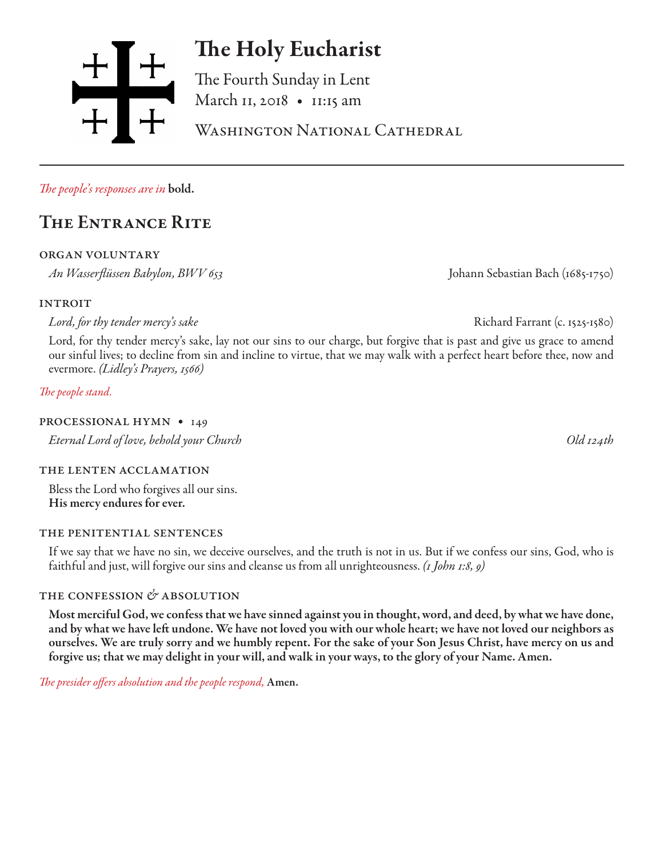

# The Holy Eucharist

The Fourth Sunday in Lent March 11, 2018 • 11:15 am

WASHINGTON NATIONAL CATHEDRAL

*The people's responses are in* bold.

# The Entrance Rite

organ voluntary

*An Wasserflüssen Babylon, BWV 653* Johann Sebastian Bach (1685-1750)

**INTROIT** 

*Lord, for thy tender mercy's sake* Richard Farrant (c. 1525-1580)

Lord, for thy tender mercy's sake, lay not our sins to our charge, but forgive that is past and give us grace to amend our sinful lives; to decline from sin and incline to virtue, that we may walk with a perfect heart before thee, now and evermore. *(Lidley's Prayers, 1566)*

*The people stand.*

#### PROCESSIONAL HYMN • 149

*Eternal Lord of love, behold your Church Old 124th*

#### the lenten acclamation

Bless the Lord who forgives all our sins. His mercy endures for ever.

#### the penitential sentences

If we say that we have no sin, we deceive ourselves, and the truth is not in us. But if we confess our sins, God, who is faithful and just, will forgive our sins and cleanse us from all unrighteousness. *(1 John 1:8, 9)*

### the confession *&* absolution

Most merciful God, we confess that we have sinned against you in thought, word, and deed, by what we have done, and by what we have left undone. We have not loved you with our whole heart; we have not loved our neighbors as ourselves. We are truly sorry and we humbly repent. For the sake of your Son Jesus Christ, have mercy on us and forgive us; that we may delight in your will, and walk in your ways, to the glory of your Name. Amen.

*The presider offers absolution and the people respond,* Amen.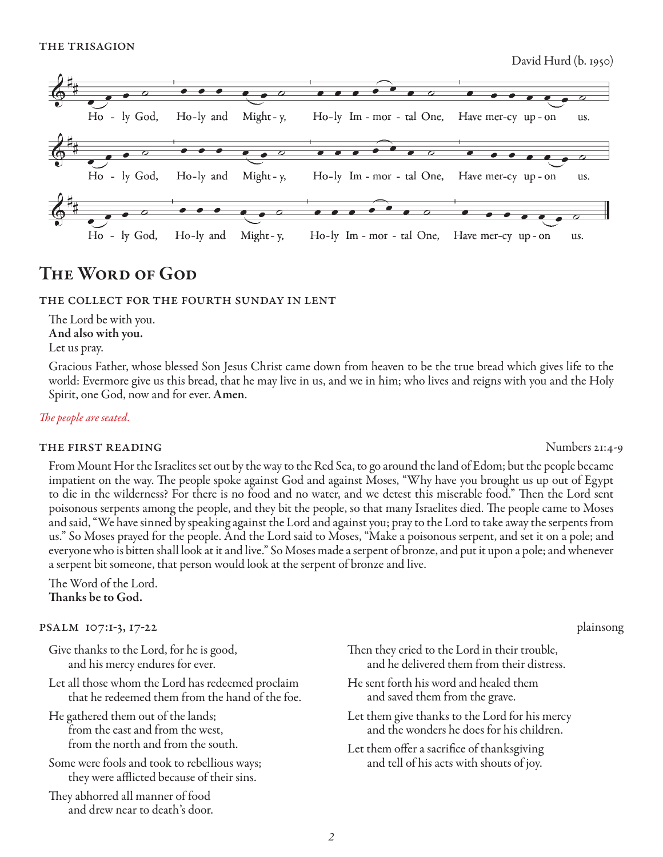

## The Word of God

#### the collect for the fourth sunday in lent

The Lord be with you. And also with you. Let us pray.

Gracious Father, whose blessed Son Jesus Christ came down from heaven to be the true bread which gives life to the world: Evermore give us this bread, that he may live in us, and we in him; who lives and reigns with you and the Holy Spirit, one God, now and for ever. Amen.

#### *The people are seated.*

#### THE FIRST READING Numbers 21:4-9

From Mount Hor the Israelites set out by the way to the Red Sea, to go around the land of Edom; but the people became impatient on the way. The people spoke against God and against Moses, "Why have you brought us up out of Egypt to die in the wilderness? For there is no food and no water, and we detest this miserable food." Then the Lord sent poisonous serpents among the people, and they bit the people, so that many Israelites died. The people came to Moses and said, "We have sinned by speaking against the Lord and against you; pray to the Lord to take away the serpents from us." So Moses prayed for the people. And the Lord said to Moses, "Make a poisonous serpent, and set it on a pole; and everyone who is bitten shall look at it and live." So Moses made a serpent of bronze, and put it upon a pole; and whenever a serpent bit someone, that person would look at the serpent of bronze and live.

The Word of the Lord. Thanks be to God.

#### psalm 107:1-3, 17-22 plainsong

- Give thanks to the Lord, for he is good, and his mercy endures for ever.
- Let all those whom the Lord has redeemed proclaim that he redeemed them from the hand of the foe.
- He gathered them out of the lands; from the east and from the west, from the north and from the south.
- Some were fools and took to rebellious ways; they were afflicted because of their sins.
- They abhorred all manner of food and drew near to death's door.

- Then they cried to the Lord in their trouble, and he delivered them from their distress.
- He sent forth his word and healed them and saved them from the grave.
- Let them give thanks to the Lord for his mercy and the wonders he does for his children.
- Let them offer a sacrifice of thanksgiving and tell of his acts with shouts of joy.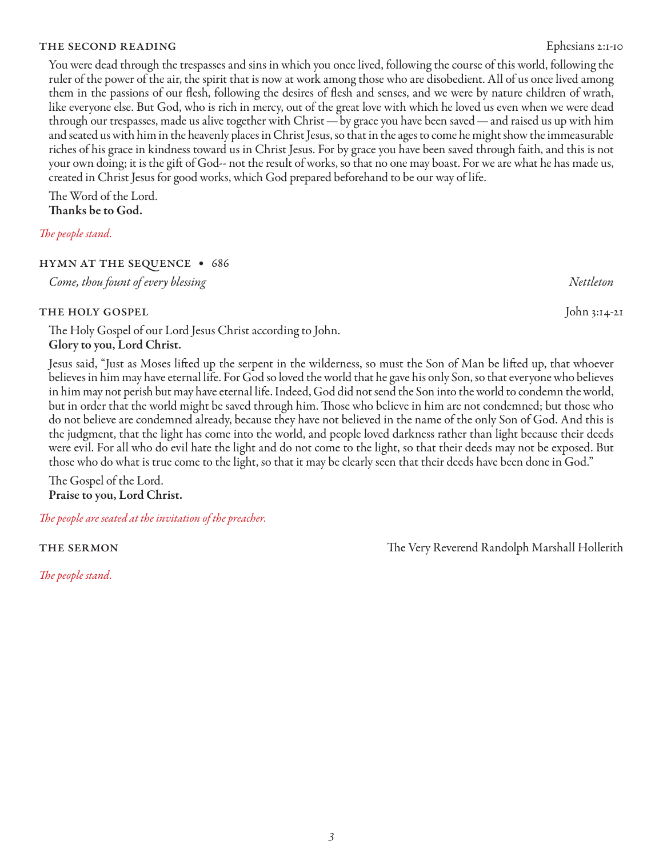THE SECOND READING EPHESIAN EPHESIAN SECOND READING You were dead through the trespasses and sins in which you once lived, following the course of this world, following the ruler of the power of the air, the spirit that is now at work among those who are disobedient. All of us once lived among them in the passions of our flesh, following the desires of flesh and senses, and we were by nature children of wrath, like everyone else. But God, who is rich in mercy, out of the great love with which he loved us even when we were dead

through our trespasses, made us alive together with Christ — by grace you have been saved — and raised us up with him and seated us with him in the heavenly places in Christ Jesus, so that in the ages to come he might show the immeasurable riches of his grace in kindness toward us in Christ Jesus. For by grace you have been saved through faith, and this is not your own doing; it is the gift of God-- not the result of works, so that no one may boast. For we are what he has made us, created in Christ Jesus for good works, which God prepared beforehand to be our way of life.

The Word of the Lord. Thanks be to God.

#### *The people stand.*

#### hymn at the sequence • 686

*Come, thou fount of every blessing Nettleton*

#### THE HOLY GOSPEL John 3:14-21

The Holy Gospel of our Lord Jesus Christ according to John. Glory to you, Lord Christ.

Jesus said, "Just as Moses lifted up the serpent in the wilderness, so must the Son of Man be lifted up, that whoever believes in him may have eternal life. For God so loved the world that he gave his only Son, so that everyone who believes in him may not perish but may have eternal life. Indeed, God did not send the Son into the world to condemn the world, but in order that the world might be saved through him. Those who believe in him are not condemned; but those who do not believe are condemned already, because they have not believed in the name of the only Son of God. And this is the judgment, that the light has come into the world, and people loved darkness rather than light because their deeds were evil. For all who do evil hate the light and do not come to the light, so that their deeds may not be exposed. But those who do what is true come to the light, so that it may be clearly seen that their deeds have been done in God."

The Gospel of the Lord. Praise to you, Lord Christ.

*The people are seated at the invitation of the preacher.*

*The people stand.*

the sermon The Very Reverend Randolph Marshall Hollerith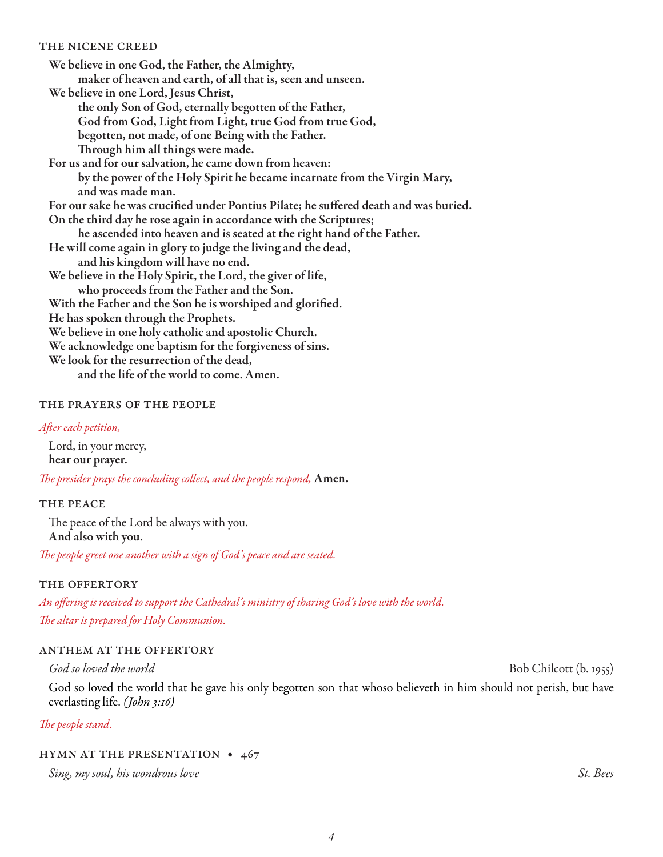#### the nicene creed

We believe in one God, the Father, the Almighty, maker of heaven and earth, of all that is, seen and unseen. We believe in one Lord, Jesus Christ, the only Son of God, eternally begotten of the Father, God from God, Light from Light, true God from true God, begotten, not made, of one Being with the Father. Through him all things were made. For us and for our salvation, he came down from heaven: by the power of the Holy Spirit he became incarnate from the Virgin Mary, and was made man. For our sake he was crucified under Pontius Pilate; he suffered death and was buried. On the third day he rose again in accordance with the Scriptures; he ascended into heaven and is seated at the right hand of the Father. He will come again in glory to judge the living and the dead, and his kingdom will have no end. We believe in the Holy Spirit, the Lord, the giver of life, who proceeds from the Father and the Son. With the Father and the Son he is worshiped and glorified. He has spoken through the Prophets. We believe in one holy catholic and apostolic Church. We acknowledge one baptism for the forgiveness of sins. We look for the resurrection of the dead,

and the life of the world to come. Amen.

#### the prayers of the people

#### *After each petition,*

Lord, in your mercy, hear our prayer.

*The presider prays the concluding collect, and the people respond,* Amen.

#### THE PEACE

The peace of the Lord be always with you. And also with you.

*The people greet one another with a sign of God's peace and are seated.*

#### THE OFFERTORY

*An offering is received to support the Cathedral's ministry of sharing God's love with the world. The altar is prepared for Holy Communion.*

#### anthem at the offertory

God so loved the world that he gave his only begotten son that whoso believeth in him should not perish, but have everlasting life. *(John 3:16)*

*God so loved the world* Bob Chilcott (b. 1955)

#### *The people stand.*

#### hymn at the presentation • 467

*Sing, my soul, his wondrous love St. Bees*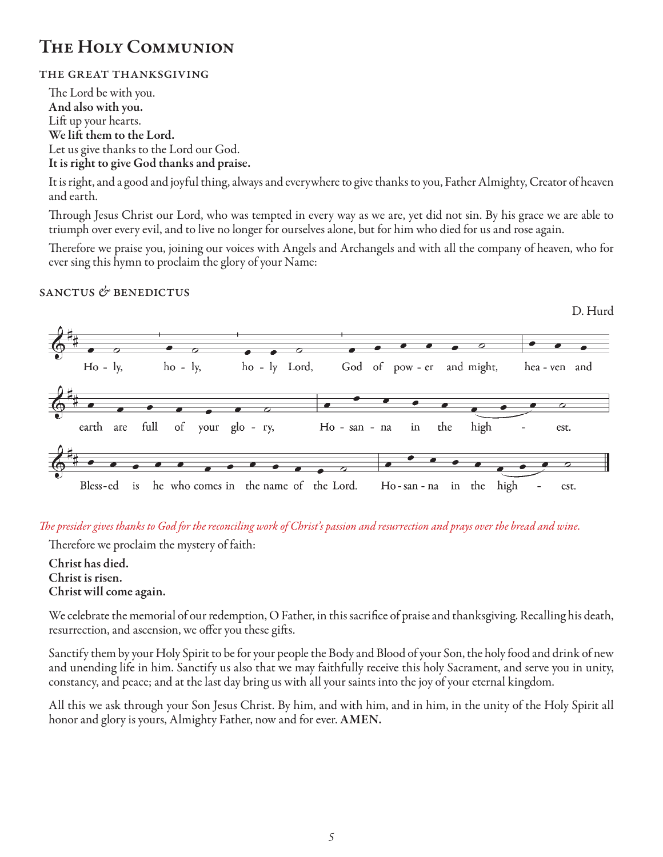# THE HOLY COMMUNION

### the great thanksgiving

The Lord be with you. And also with you. Lift up your hearts. We lift them to the Lord. Let us give thanks to the Lord our God. It is right to give God thanks and praise.

It is right, and a good and joyful thing, always and everywhere to give thanks to you, Father Almighty, Creator of heaven and earth.

Through Jesus Christ our Lord, who was tempted in every way as we are, yet did not sin. By his grace we are able to triumph over every evil, and to live no longer for ourselves alone, but for him who died for us and rose again.

Therefore we praise you, joining our voices with Angels and Archangels and with all the company of heaven, who for ever sing this hymn to proclaim the glory of your Name:

#### sanctus *&* benedictus



#### *The presider gives thanks to God for the reconciling work of Christ's passion and resurrection and prays over the bread and wine.*

Therefore we proclaim the mystery of faith:

Christ has died. Christ is risen. Christ will come again.

We celebrate the memorial of our redemption, O Father, in this sacrifice of praise and thanksgiving. Recalling his death, resurrection, and ascension, we offer you these gifts.

Sanctify them by your Holy Spirit to be for your people the Body and Blood of your Son, the holy food and drink of new and unending life in him. Sanctify us also that we may faithfully receive this holy Sacrament, and serve you in unity, constancy, and peace; and at the last day bring us with all your saints into the joy of your eternal kingdom.

All this we ask through your Son Jesus Christ. By him, and with him, and in him, in the unity of the Holy Spirit all honor and glory is yours, Almighty Father, now and for ever. AMEN.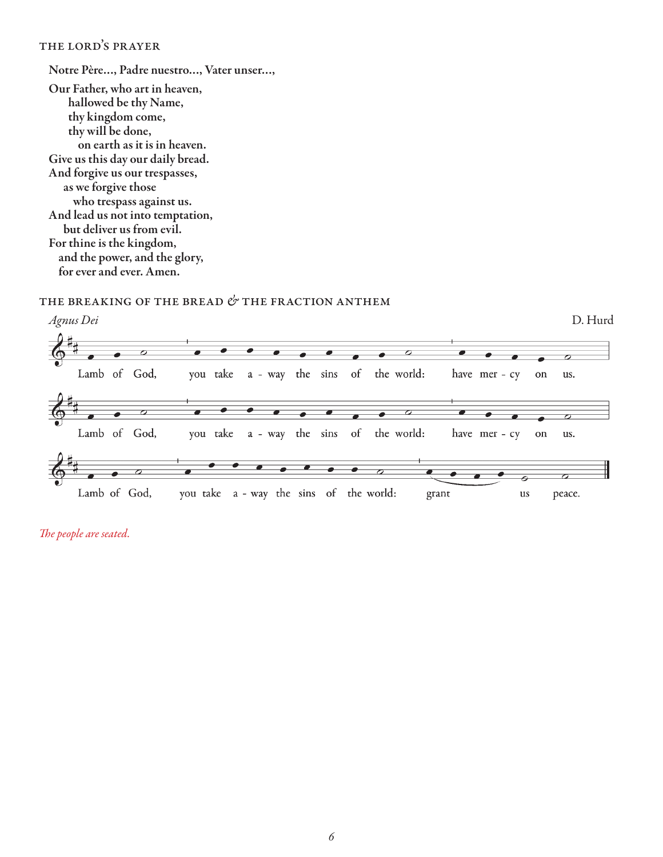#### the lord's prayer

Notre Père…, Padre nuestro…, Vater unser…, Our Father, who art in heaven, hallowed be thy Name, thy kingdom come, thy will be done, on earth as it is in heaven. Give us this day our daily bread. And forgive us our trespasses, as we forgive those who trespass against us. And lead us not into temptation, but deliver us from evil. For thine is the kingdom, and the power, and the glory, for ever and ever. Amen.

### the breaking of the bread *&* the fraction anthem



*The people are seated.*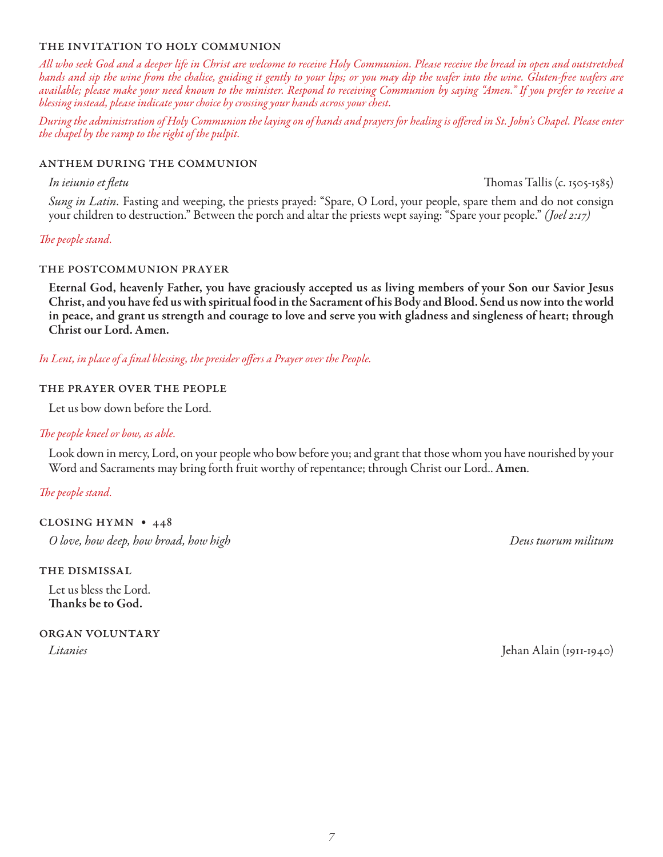#### the invitation to holy communion

*All who seek God and a deeper life in Christ are welcome to receive Holy Communion. Please receive the bread in open and outstretched hands and sip the wine from the chalice, guiding it gently to your lips; or you may dip the wafer into the wine. Gluten-free wafers are available; please make your need known to the minister. Respond to receiving Communion by saying "Amen." If you prefer to receive a blessing instead, please indicate your choice by crossing your hands across your chest.* 

*During the administration of Holy Communion the laying on of hands and prayers for healing is offered in St. John's Chapel. Please enter the chapel by the ramp to the right of the pulpit.*

#### anthem during the communion

*In ieiunio et fletu* Thomas Tallis (c. 1505-1585)

*Sung in Latin.* Fasting and weeping, the priests prayed: "Spare, O Lord, your people, spare them and do not consign your children to destruction." Between the porch and altar the priests wept saying: "Spare your people." *(Joel 2:17)*

#### *The people stand.*

#### the postcommunion prayer

Eternal God, heavenly Father, you have graciously accepted us as living members of your Son our Savior Jesus Christ, and you have fed us with spiritual food in the Sacrament of his Body and Blood. Send us now into the world in peace, and grant us strength and courage to love and serve you with gladness and singleness of heart; through Christ our Lord. Amen.

*In Lent, in place of a final blessing, the presider offers a Prayer over the People.* 

#### the prayer over the people

Let us bow down before the Lord.

#### *The people kneel or bow, as able.*

Look down in mercy, Lord, on your people who bow before you; and grant that those whom you have nourished by your Word and Sacraments may bring forth fruit worthy of repentance; through Christ our Lord.. Amen*.*

*The people stand.* 

closing hymn • 448

*O love, how deep, how broad, how high Deus tuorum militum*

the dismissal

Let us bless the Lord. Thanks be to God.

organ voluntary

*Litanies* Jehan Alain (1911-1940)